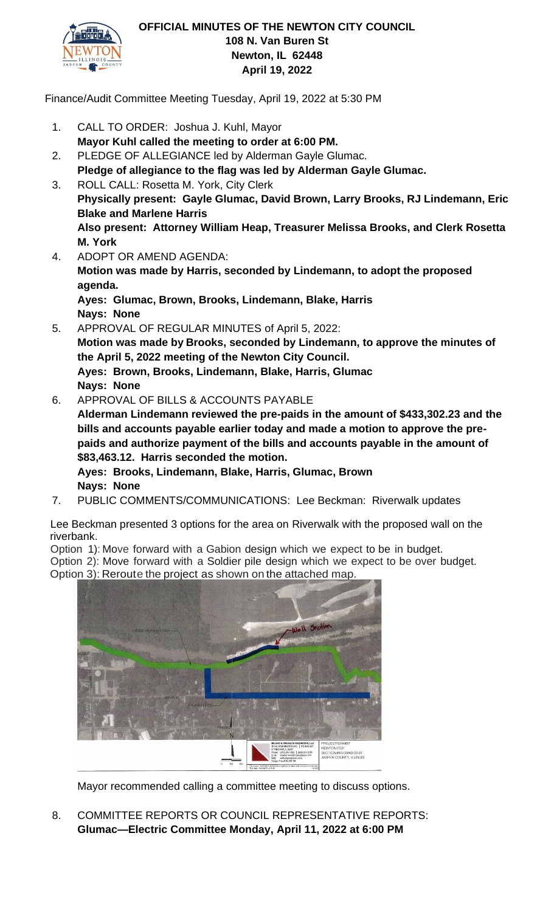

Finance/Audit Committee Meeting Tuesday, April 19, 2022 at 5:30 PM

- 1. CALL TO ORDER: Joshua J. Kuhl, Mayor **Mayor Kuhl called the meeting to order at 6:00 PM.**
- 2. PLEDGE OF ALLEGIANCE led by Alderman Gayle Glumac. **Pledge of allegiance to the flag was led by Alderman Gayle Glumac.**
- 3. ROLL CALL: Rosetta M. York, City Clerk **Physically present: Gayle Glumac, David Brown, Larry Brooks, RJ Lindemann, Eric Blake and Marlene Harris Also present: Attorney William Heap, Treasurer Melissa Brooks, and Clerk Rosetta M. York**
- 4. ADOPT OR AMEND AGENDA: **Motion was made by Harris, seconded by Lindemann, to adopt the proposed agenda. Ayes: Glumac, Brown, Brooks, Lindemann, Blake, Harris Nays: None**
- 5. APPROVAL OF REGULAR MINUTES of April 5, 2022: **Motion was made by Brooks, seconded by Lindemann, to approve the minutes of the April 5, 2022 meeting of the Newton City Council. Ayes: Brown, Brooks, Lindemann, Blake, Harris, Glumac Nays: None**
- 6. APPROVAL OF BILLS & ACCOUNTS PAYABLE

**Alderman Lindemann reviewed the pre-paids in the amount of \$433,302.23 and the bills and accounts payable earlier today and made a motion to approve the prepaids and authorize payment of the bills and accounts payable in the amount of \$83,463.12. Harris seconded the motion.**

**Ayes: Brooks, Lindemann, Blake, Harris, Glumac, Brown Nays: None** 

7. PUBLIC COMMENTS/COMMUNICATIONS: Lee Beckman: Riverwalk updates

Lee Beckman presented 3 options for the area on Riverwalk with the proposed wall on the riverbank.

Option 1): Move forward with a Gabion design which we expect to be in budget. Option 2): Move forward with a Soldier pile design which we expect to be over budget. Option 3): Reroute the project as shown on the attached map.



Mayor recommended calling a committee meeting to discuss options.

8. COMMITTEE REPORTS OR COUNCIL REPRESENTATIVE REPORTS: **Glumac—Electric Committee Monday, April 11, 2022 at 6:00 PM**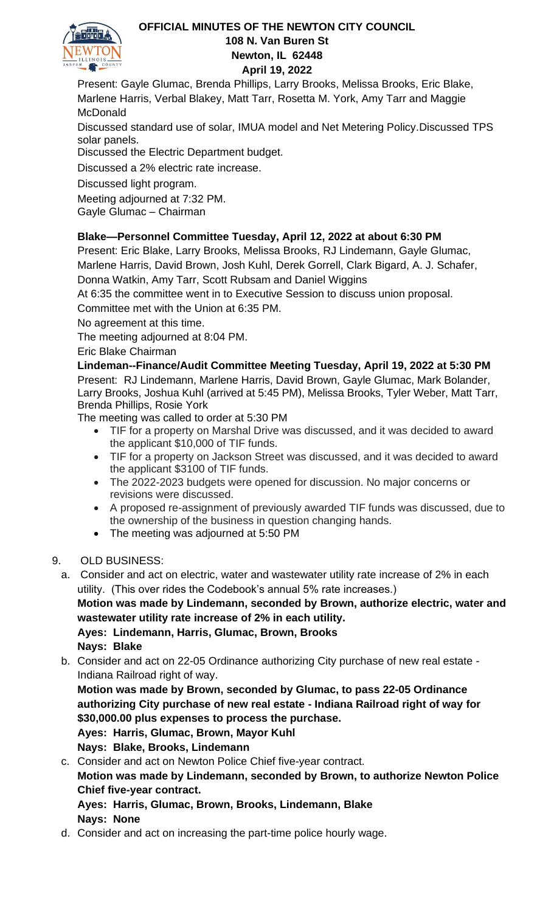

Present: Gayle Glumac, Brenda Phillips, Larry Brooks, Melissa Brooks, Eric Blake, Marlene Harris, Verbal Blakey, Matt Tarr, Rosetta M. York, Amy Tarr and Maggie McDonald

Discussed standard use of solar, IMUA model and Net Metering Policy.Discussed TPS solar panels.

Discussed the Electric Department budget.

Discussed a 2% electric rate increase.

Discussed light program.

Meeting adjourned at 7:32 PM. Gayle Glumac – Chairman

# **Blake—Personnel Committee Tuesday, April 12, 2022 at about 6:30 PM**

Present: Eric Blake, Larry Brooks, Melissa Brooks, RJ Lindemann, Gayle Glumac, Marlene Harris, David Brown, Josh Kuhl, Derek Gorrell, Clark Bigard, A. J. Schafer, Donna Watkin, Amy Tarr, Scott Rubsam and Daniel Wiggins

At 6:35 the committee went in to Executive Session to discuss union proposal. Committee met with the Union at 6:35 PM.

No agreement at this time.

The meeting adjourned at 8:04 PM.

Eric Blake Chairman

**Lindeman--Finance/Audit Committee Meeting Tuesday, April 19, 2022 at 5:30 PM**

Present: RJ Lindemann, Marlene Harris, David Brown, Gayle Glumac, Mark Bolander, Larry Brooks, Joshua Kuhl (arrived at 5:45 PM), Melissa Brooks, Tyler Weber, Matt Tarr, Brenda Phillips, Rosie York

The meeting was called to order at 5:30 PM

- TIF for a property on Marshal Drive was discussed, and it was decided to award the applicant \$10,000 of TIF funds.
- TIF for a property on Jackson Street was discussed, and it was decided to award the applicant \$3100 of TIF funds.
- The 2022-2023 budgets were opened for discussion. No major concerns or revisions were discussed.
- A proposed re-assignment of previously awarded TIF funds was discussed, due to the ownership of the business in question changing hands.
- The meeting was adjourned at 5:50 PM
- 9. OLD BUSINESS:
	- a. Consider and act on electric, water and wastewater utility rate increase of 2% in each utility. (This over rides the Codebook's annual 5% rate increases.)

**Motion was made by Lindemann, seconded by Brown, authorize electric, water and wastewater utility rate increase of 2% in each utility.**

**Ayes: Lindemann, Harris, Glumac, Brown, Brooks Nays: Blake**

b. Consider and act on 22-05 Ordinance authorizing City purchase of new real estate - Indiana Railroad right of way.

**Motion was made by Brown, seconded by Glumac, to pass 22-05 Ordinance authorizing City purchase of new real estate - Indiana Railroad right of way for \$30,000.00 plus expenses to process the purchase. Ayes: Harris, Glumac, Brown, Mayor Kuhl**

- **Nays: Blake, Brooks, Lindemann**
- c. Consider and act on Newton Police Chief five-year contract.

**Motion was made by Lindemann, seconded by Brown, to authorize Newton Police Chief five-year contract.**

# **Ayes: Harris, Glumac, Brown, Brooks, Lindemann, Blake Nays: None**

d. Consider and act on increasing the part-time police hourly wage.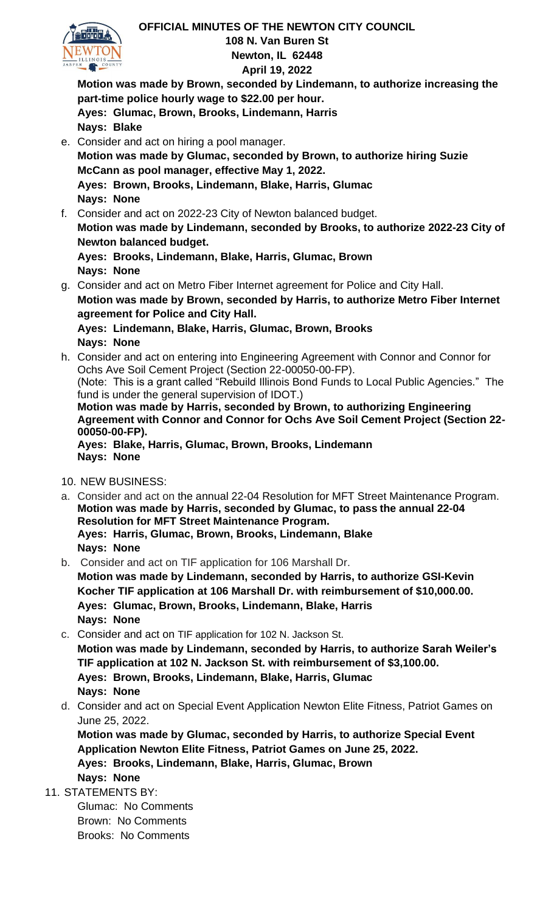

**Motion was made by Brown, seconded by Lindemann, to authorize increasing the part-time police hourly wage to \$22.00 per hour. Ayes: Glumac, Brown, Brooks, Lindemann, Harris Nays: Blake**

- e. Consider and act on hiring a pool manager. **Motion was made by Glumac, seconded by Brown, to authorize hiring Suzie McCann as pool manager, effective May 1, 2022. Ayes: Brown, Brooks, Lindemann, Blake, Harris, Glumac Nays: None**
- f. Consider and act on 2022-23 City of Newton balanced budget. **Motion was made by Lindemann, seconded by Brooks, to authorize 2022-23 City of Newton balanced budget. Ayes: Brooks, Lindemann, Blake, Harris, Glumac, Brown**

**Nays: None**

g. Consider and act on Metro Fiber Internet agreement for Police and City Hall. **Motion was made by Brown, seconded by Harris, to authorize Metro Fiber Internet agreement for Police and City Hall.**

**Ayes: Lindemann, Blake, Harris, Glumac, Brown, Brooks Nays: None**

h. Consider and act on entering into Engineering Agreement with Connor and Connor for Ochs Ave Soil Cement Project (Section 22-00050-00-FP). (Note: This is a grant called "Rebuild Illinois Bond Funds to Local Public Agencies." The

fund is under the general supervision of IDOT.)

**Motion was made by Harris, seconded by Brown, to authorizing Engineering Agreement with Connor and Connor for Ochs Ave Soil Cement Project (Section 22- 00050-00-FP).**

**Ayes: Blake, Harris, Glumac, Brown, Brooks, Lindemann Nays: None**

10. NEW BUSINESS:

- a. Consider and act on the annual 22-04 Resolution for MFT Street Maintenance Program. **Motion was made by Harris, seconded by Glumac, to pass the annual 22-04 Resolution for MFT Street Maintenance Program. Ayes: Harris, Glumac, Brown, Brooks, Lindemann, Blake Nays: None**
- b. Consider and act on TIF application for 106 Marshall Dr. **Motion was made by Lindemann, seconded by Harris, to authorize GSI-Kevin Kocher TIF application at 106 Marshall Dr. with reimbursement of \$10,000.00. Ayes: Glumac, Brown, Brooks, Lindemann, Blake, Harris Nays: None**
- c. Consider and act on TIF application for 102 N. Jackson St. **Motion was made by Lindemann, seconded by Harris, to authorize Sarah Weiler's TIF application at 102 N. Jackson St. with reimbursement of \$3,100.00. Ayes: Brown, Brooks, Lindemann, Blake, Harris, Glumac Nays: None**
- d. Consider and act on Special Event Application Newton Elite Fitness, Patriot Games on June 25, 2022.

**Motion was made by Glumac, seconded by Harris, to authorize Special Event Application Newton Elite Fitness, Patriot Games on June 25, 2022. Ayes: Brooks, Lindemann, Blake, Harris, Glumac, Brown Nays: None**

11. STATEMENTS BY:

Glumac: No Comments Brown: No Comments Brooks: No Comments